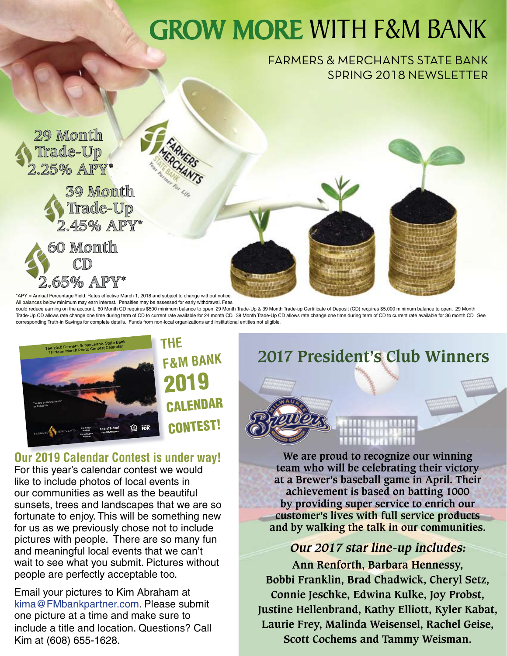## **GROW MORE WITH F&M BANK**

#### FARMERS & MERCHANTS STATE BANK SPRING 2018 NEWSLETTER



\*APY = Annual Percentage Yield. Rates effective March 1, 2018 and subject to change without notice.

All balances below minimum may earn interest. Penalties may be assessed for early withdrawal. Fees could reduce earning on the account. 60 Month CD requires \$500 minimum balance to open. 29 Month Trade-Up & 39 Month Trade-up Certificate of Deposit (CD) requires \$5,000 minimum balance to open. 29 Month Trade-Up CD allows rate change one time during term of CD to current rate available for 24 month CD. 39 Month Trade-Up CD allows rate change one time during term of CD to current rate available for 36 month CD. See corresponding Truth-in Savings for complete details. Funds from non-local organizations and institutional entities not eligible.



**Our 2019 Calendar Contest is under way!**<br>For this year's calendar contest we would like to include photos of local events in our communities as well as the beautiful sunsets, trees and landscapes that we are so fortunate to enjoy. This will be something new for us as we previously chose not to include pictures with people. There are so many fun and meaningful local events that we can't wait to see what you submit. Pictures without people are perfectly acceptable too.

Email your pictures to Kim Abraham at kima@FMbankpartner.com. Please submit one picture at a time and make sure to include a title and location. Questions? Call Kim at (608) 655-1628.

### **2017 President's Club Winners**



**We are proud to recognize our winning team who will be celebrating their victory at a Brewer's baseball game in April. Their achievement is based on batting 1000 by providing super service to enrich our customer's lives with full service products and by walking the talk in our communities.**

#### **Our 2017 star line-up includes:**

**Ann Renforth, Barbara Hennessy, Bobbi Franklin, Brad Chadwick, Cheryl Setz, Connie Jeschke, Edwina Kulke, Joy Probst, Justine Hellenbrand, Kathy Elliott, Kyler Kabat, Laurie Frey, Malinda Weisensel, Rachel Geise, Scott Cochems and Tammy Weisman.**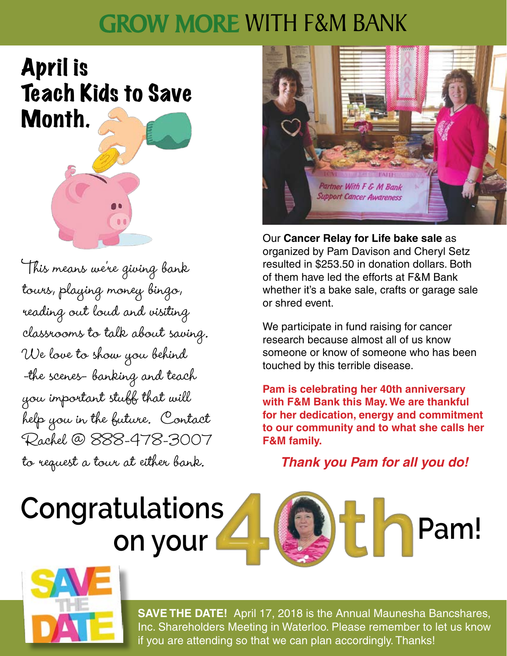## **GROW MORE WITH F&M BANK**

April is Teach Kids to Save Month.

This means we're giving bank tours, playing money bingo, reading out loud and visiting classrooms to talk about saving. We love to show you behind -the scenes- banking and teach you important stuff that will help you in the future. Contact Rachel @ 888-478-3007 to request a tour at either bank.



Our **Cancer Relay for Life bake sale** as organized by Pam Davison and Cheryl Setz resulted in \$253.50 in donation dollars. Both of them have led the efforts at F&M Bank whether it's a bake sale, crafts or garage sale or shred event.

We participate in fund raising for cancer research because almost all of us know someone or know of someone who has been touched by this terrible disease.

**Pam is celebrating her 40th anniversary with F&M Bank this May. We are thankful for her dedication, energy and commitment to our community and to what she calls her F&M family.**

*Thank you Pam for all you do!*

# **Congratulations**





**SAVE THE DATE!** April 17, 2018 is the Annual Maunesha Bancshares, Inc. Shareholders Meeting in Waterloo. Please remember to let us know if you are attending so that we can plan accordingly. Thanks!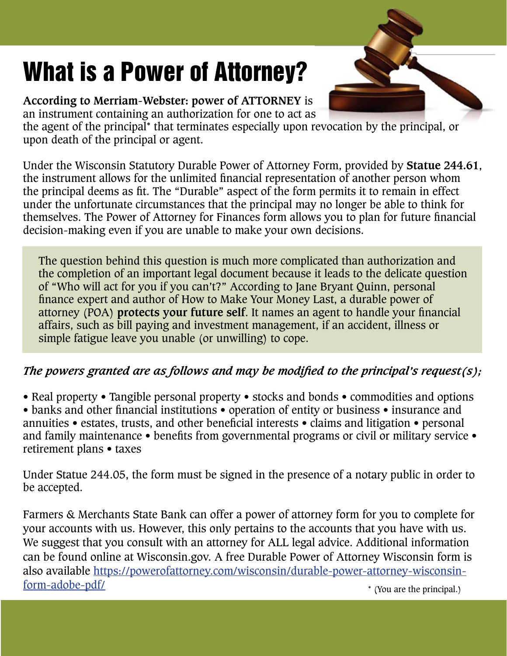## What is a Power of Attorney?

**According to Merriam-Webster: power of ATTORNEY** is an instrument containing an authorization for one to act as

the agent of the principal\* that terminates especially upon revocation by the principal, or upon death of the principal or agent.

Under the Wisconsin Statutory Durable Power of Attorney Form, provided by **Statue 244.61**, the instrument allows for the unlimited financial representation of another person whom the principal deems as fit. The "Durable" aspect of the form permits it to remain in effect under the unfortunate circumstances that the principal may no longer be able to think for themselves. The Power of Attorney for Finances form allows you to plan for future financial decision-making even if you are unable to make your own decisions.

The question behind this question is much more complicated than authorization and the completion of an important legal document because it leads to the delicate question of "Who will act for you if you can't?" According to Jane Bryant Quinn, personal finance expert and author of How to Make Your Money Last, a durable power of attorney (POA) **protects your future self**. It names an agent to handle your financial affairs, such as bill paying and investment management, if an accident, illness or simple fatigue leave you unable (or unwilling) to cope.

#### *The powers granted are as follows and may be modified to the principal's request(s);*

• Real property • Tangible personal property • stocks and bonds • commodities and options

• banks and other financial institutions • operation of entity or business • insurance and annuities • estates, trusts, and other beneficial interests • claims and litigation • personal and family maintenance • benefits from governmental programs or civil or military service • retirement plans • taxes

Under Statue 244.05, the form must be signed in the presence of a notary public in order to be accepted.

Farmers & Merchants State Bank can offer a power of attorney form for you to complete for your accounts with us. However, this only pertains to the accounts that you have with us. We suggest that you consult with an attorney for ALL legal advice. Additional information can be found online at Wisconsin.gov. A free Durable Power of Attorney Wisconsin form is also available https://powerofattorney.com/wisconsin/durable-power-attorney-wisconsinform-adobe-pdf/ \* (You are the principal.)

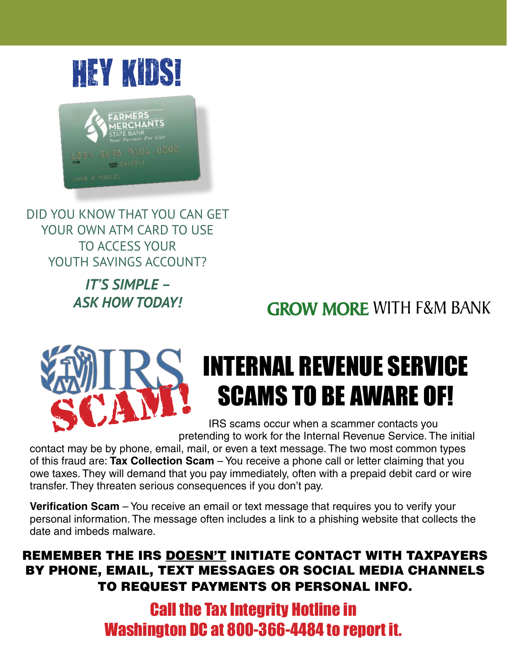

DID YOU KNOW THAT YOU CAN GET YOUR OWN ATM CARD TO USE TO ACCESS YOUR YOUTH SAVINGS ACCOUNT?

> *IT'S SIMPLE – ASK HOW TODAY!*

**GROW MORE WITH F&M BANK** 

## INTERNAL REVENUE SERVICE SCAMS TO BE AWARE OF!

 IRS scams occur when a scammer contacts you pretending to work for the Internal Revenue Service. The initial

contact may be by phone, email, mail, or even a text message. The two most common types of this fraud are: **Tax Collection Scam** – You receive a phone call or letter claiming that you owe taxes. They will demand that you pay immediately, often with a prepaid debit card or wire transfer. They threaten serious consequences if you don't pay.

**Verification Scam** – You receive an email or text message that requires you to verify your personal information. The message often includes a link to a phishing website that collects the date and imbeds malware.

#### REMEMBER THE IRS DOESN'T INITIATE CONTACT WITH TAXPAYERS BY PHONE, EMAIL, TEXT MESSAGES OR SOCIAL MEDIA CHANNELS TO REQUEST PAYMENTS OR PERSONAL INFO.

Call the Tax Integrity Hotline in Washington DC at 800-366-4484 to report it.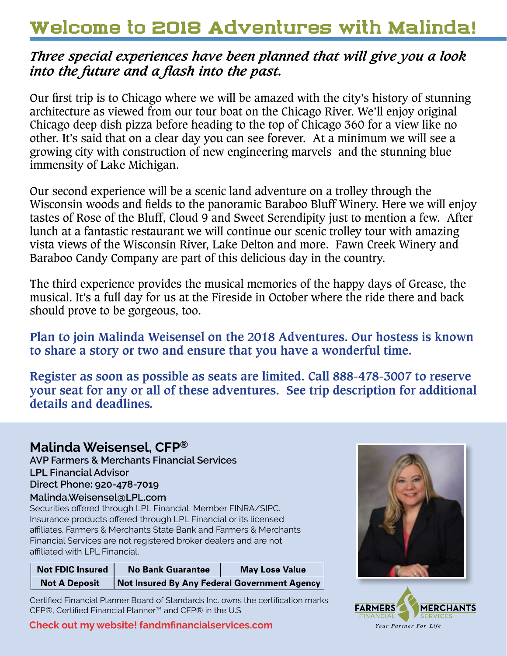## Welcome to 2018 Adventures with Malinda!

#### *Three special experiences have been planned that will give you a look into the future and a flash into the past.*

Our first trip is to Chicago where we will be amazed with the city's history of stunning architecture as viewed from our tour boat on the Chicago River. We'll enjoy original Chicago deep dish pizza before heading to the top of Chicago 360 for a view like no other. It's said that on a clear day you can see forever. At a minimum we will see a growing city with construction of new engineering marvels and the stunning blue immensity of Lake Michigan.

Our second experience will be a scenic land adventure on a trolley through the Wisconsin woods and fields to the panoramic Baraboo Bluff Winery. Here we will enjoy tastes of Rose of the Bluff, Cloud 9 and Sweet Serendipity just to mention a few. After lunch at a fantastic restaurant we will continue our scenic trolley tour with amazing vista views of the Wisconsin River, Lake Delton and more. Fawn Creek Winery and Baraboo Candy Company are part of this delicious day in the country.

The third experience provides the musical memories of the happy days of Grease, the musical. It's a full day for us at the Fireside in October where the ride there and back should prove to be gorgeous, too.

**Plan to join Malinda Weisensel on the 2018 Adventures. Our hostess is known to share a story or two and ensure that you have a wonderful time.** 

**Register as soon as possible as seats are limited. Call 888-478-3007 to reserve your seat for any or all of these adventures. See trip description for additional details and deadlines***.*

#### **Malinda Weisensel, CFP®**

**AVP Farmers & Merchants Financial Services LPL Financial Advisor Direct Phone: 920-478-7019 Malinda.Weisensel@LPL.com**

Securities offered through LPL Financial, Member FINRA/SIPC. Insurance products offered through LPL Financial or its licensed affiliates. Farmers & Merchants State Bank and Farmers & Merchants Financial Services are not registered broker dealers and are not affiliated with LPL Financial.

| <b>Not FDIC Insured</b> | <b>No Bank Guarantee</b>                            | <b>May Lose Value</b> |
|-------------------------|-----------------------------------------------------|-----------------------|
| <b>Not A Deposit</b>    | <b>Not Insured By Any Federal Government Agency</b> |                       |

Certified Financial Planner Board of Standards Inc. owns the certification marks CFP®, Certified Financial Planner™ and CFP® in the U.S.

#### **Check out my website! fandmfinancialservices.com**